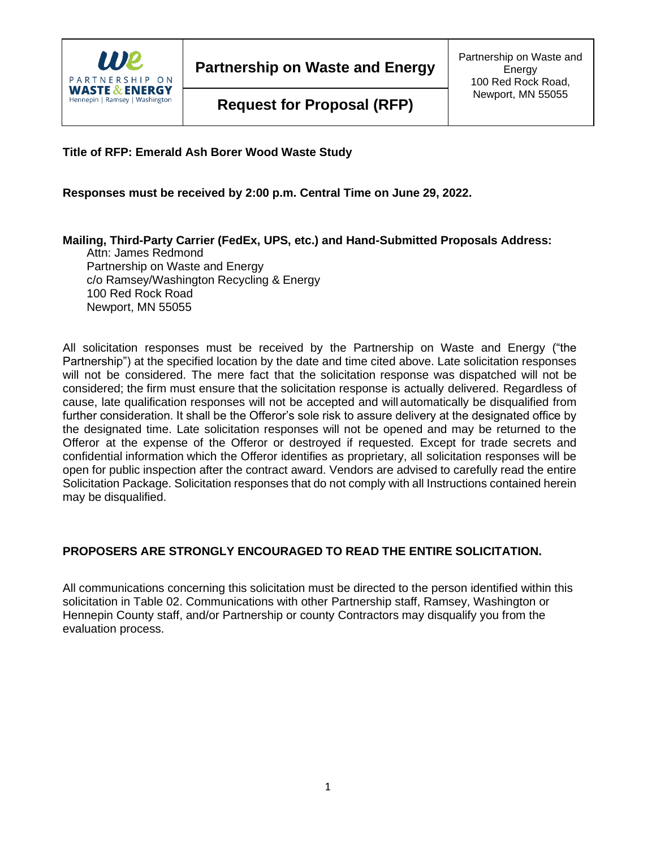

**Request for Proposal (RFP)**

## **Title of RFP: Emerald Ash Borer Wood Waste Study**

**Responses must be received by 2:00 p.m. Central Time on June 29, 2022.**

## **Mailing, Third-Party Carrier (FedEx, UPS, etc.) and Hand-Submitted Proposals Address:**

Attn: James Redmond Partnership on Waste and Energy c/o Ramsey/Washington Recycling & Energy 100 Red Rock Road Newport, MN 55055

All solicitation responses must be received by the Partnership on Waste and Energy ("the Partnership") at the specified location by the date and time cited above. Late solicitation responses will not be considered. The mere fact that the solicitation response was dispatched will not be considered; the firm must ensure that the solicitation response is actually delivered. Regardless of cause, late qualification responses will not be accepted and will automatically be disqualified from further consideration. It shall be the Offeror's sole risk to assure delivery at the designated office by the designated time. Late solicitation responses will not be opened and may be returned to the Offeror at the expense of the Offeror or destroyed if requested. Except for trade secrets and confidential information which the Offeror identifies as proprietary, all solicitation responses will be open for public inspection after the contract award. Vendors are advised to carefully read the entire Solicitation Package. Solicitation responses that do not comply with all Instructions contained herein may be disqualified.

## **PROPOSERS ARE STRONGLY ENCOURAGED TO READ THE ENTIRE SOLICITATION.**

All communications concerning this solicitation must be directed to the person identified within this solicitation in Table 02. Communications with other Partnership staff, Ramsey, Washington or Hennepin County staff, and/or Partnership or county Contractors may disqualify you from the evaluation process.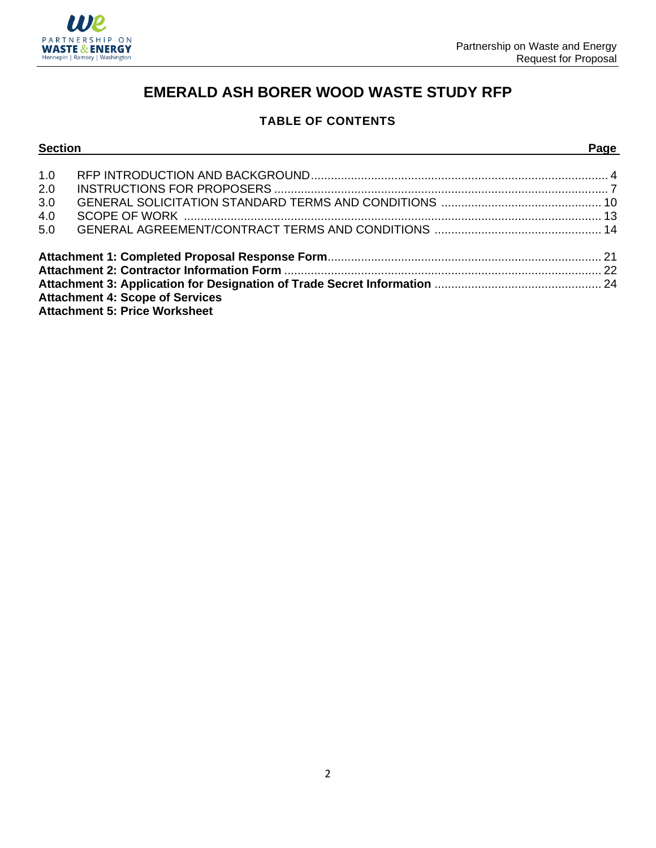

# **EMERALD ASH BORER WOOD WASTE STUDY RFP**

# **TABLE OF CONTENTS**

| <b>Section</b><br><u> 1989 - Johann Stoff, amerikansk politiker (d. 1989)</u> |                                        | Page |  |
|-------------------------------------------------------------------------------|----------------------------------------|------|--|
| 1.0                                                                           |                                        |      |  |
| 2.0                                                                           |                                        |      |  |
| 3.0                                                                           |                                        |      |  |
| 4.0                                                                           |                                        |      |  |
| 5.0                                                                           |                                        |      |  |
|                                                                               |                                        |      |  |
|                                                                               |                                        |      |  |
|                                                                               |                                        |      |  |
|                                                                               | <b>Attachment 4: Scope of Services</b> |      |  |
|                                                                               | Attachment E. Dries Werkchast          |      |  |

**Attachment 5: Price Worksheet**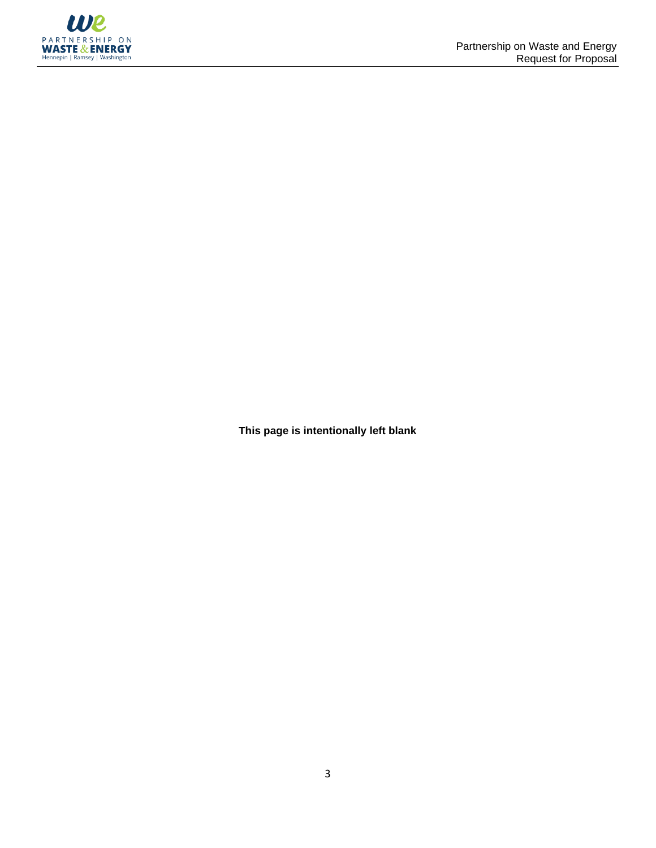

**This page is intentionally left blank**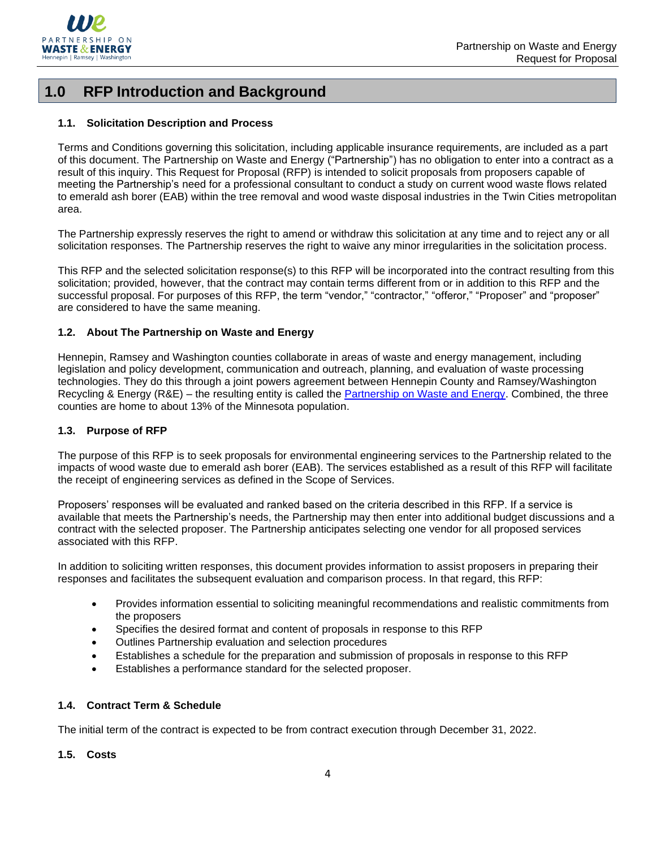

# **1.0 RFP Introduction and Background**

### **1.1. Solicitation Description and Process**

Terms and Conditions governing this solicitation, including applicable insurance requirements, are included as a part of this document. The Partnership on Waste and Energy ("Partnership") has no obligation to enter into a contract as a result of this inquiry. This Request for Proposal (RFP) is intended to solicit proposals from proposers capable of meeting the Partnership's need for a professional consultant to conduct a study on current wood waste flows related to emerald ash borer (EAB) within the tree removal and wood waste disposal industries in the Twin Cities metropolitan area.

The Partnership expressly reserves the right to amend or withdraw this solicitation at any time and to reject any or all solicitation responses. The Partnership reserves the right to waive any minor irregularities in the solicitation process.

This RFP and the selected solicitation response(s) to this RFP will be incorporated into the contract resulting from this solicitation; provided, however, that the contract may contain terms different from or in addition to this RFP and the successful proposal. For purposes of this RFP, the term "vendor," "contractor," "offeror," "Proposer" and "proposer" are considered to have the same meaning.

### **1.2. About The Partnership on Waste and Energy**

Hennepin, Ramsey and Washington counties collaborate in areas of waste and energy management, including legislation and policy development, communication and outreach, planning, and evaluation of waste processing technologies. They do this through a joint powers agreement between Hennepin County and Ramsey/Washington Recycling & Energy (R&E) – the resulting entity is called the Partnership on Waste and Energy. Combined, the three counties are home to about 13% of the Minnesota population.

### **1.3. Purpose of RFP**

The purpose of this RFP is to seek proposals for environmental engineering services to the Partnership related to the impacts of wood waste due to emerald ash borer (EAB). The services established as a result of this RFP will facilitate the receipt of engineering services as defined in the Scope of Services.

Proposers' responses will be evaluated and ranked based on the criteria described in this RFP. If a service is available that meets the Partnership's needs, the Partnership may then enter into additional budget discussions and a contract with the selected proposer. The Partnership anticipates selecting one vendor for all proposed services associated with this RFP.

In addition to soliciting written responses, this document provides information to assist proposers in preparing their responses and facilitates the subsequent evaluation and comparison process. In that regard, this RFP:

- Provides information essential to soliciting meaningful recommendations and realistic commitments from the proposers
- Specifies the desired format and content of proposals in response to this RFP
- Outlines Partnership evaluation and selection procedures
- Establishes a schedule for the preparation and submission of proposals in response to this RFP
- Establishes a performance standard for the selected proposer.

### **1.4. Contract Term & Schedule**

The initial term of the contract is expected to be from contract execution through December 31, 2022.

### **1.5. Costs**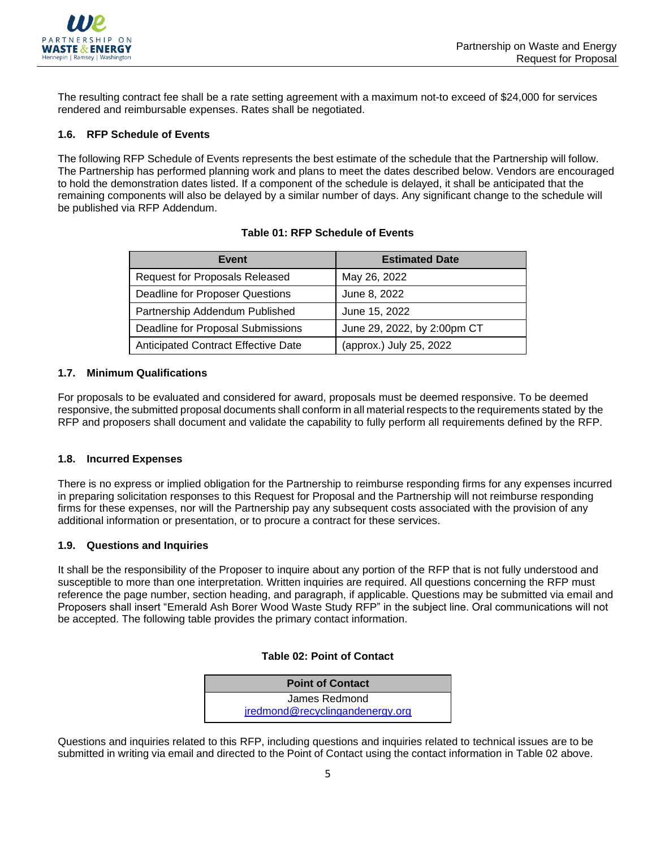

The resulting contract fee shall be a rate setting agreement with a maximum not-to exceed of \$24,000 for services rendered and reimbursable expenses. Rates shall be negotiated.

### **1.6. RFP Schedule of Events**

The following RFP Schedule of Events represents the best estimate of the schedule that the Partnership will follow. The Partnership has performed planning work and plans to meet the dates described below. Vendors are encouraged to hold the demonstration dates listed. If a component of the schedule is delayed, it shall be anticipated that the remaining components will also be delayed by a similar number of days. Any significant change to the schedule will be published via RFP Addendum.

| Event                                      | <b>Estimated Date</b>       |
|--------------------------------------------|-----------------------------|
| <b>Request for Proposals Released</b>      | May 26, 2022                |
| Deadline for Proposer Questions            | June 8, 2022                |
| Partnership Addendum Published             | June 15, 2022               |
| Deadline for Proposal Submissions          | June 29, 2022, by 2:00pm CT |
| <b>Anticipated Contract Effective Date</b> | (approx.) July 25, 2022     |

### **Table 01: RFP Schedule of Events**

### **1.7. Minimum Qualifications**

For proposals to be evaluated and considered for award, proposals must be deemed responsive. To be deemed responsive, the submitted proposal documents shall conform in all material respects to the requirements stated by the RFP and proposers shall document and validate the capability to fully perform all requirements defined by the RFP.

### **1.8. Incurred Expenses**

There is no express or implied obligation for the Partnership to reimburse responding firms for any expenses incurred in preparing solicitation responses to this Request for Proposal and the Partnership will not reimburse responding firms for these expenses, nor will the Partnership pay any subsequent costs associated with the provision of any additional information or presentation, or to procure a contract for these services.

### **1.9. Questions and Inquiries**

It shall be the responsibility of the Proposer to inquire about any portion of the RFP that is not fully understood and susceptible to more than one interpretation. Written inquiries are required. All questions concerning the RFP must reference the page number, section heading, and paragraph, if applicable. Questions may be submitted via email and Proposers shall insert "Emerald Ash Borer Wood Waste Study RFP" in the subject line. Oral communications will not be accepted. The following table provides the primary contact information.

### **Table 02: Point of Contact**

| <b>Point of Contact</b>         |  |
|---------------------------------|--|
| James Redmond                   |  |
| jredmond@recyclingandenergy.org |  |

Questions and inquiries related to this RFP, including questions and inquiries related to technical issues are to be submitted in writing via email and directed to the Point of Contact using the contact information in Table 02 above.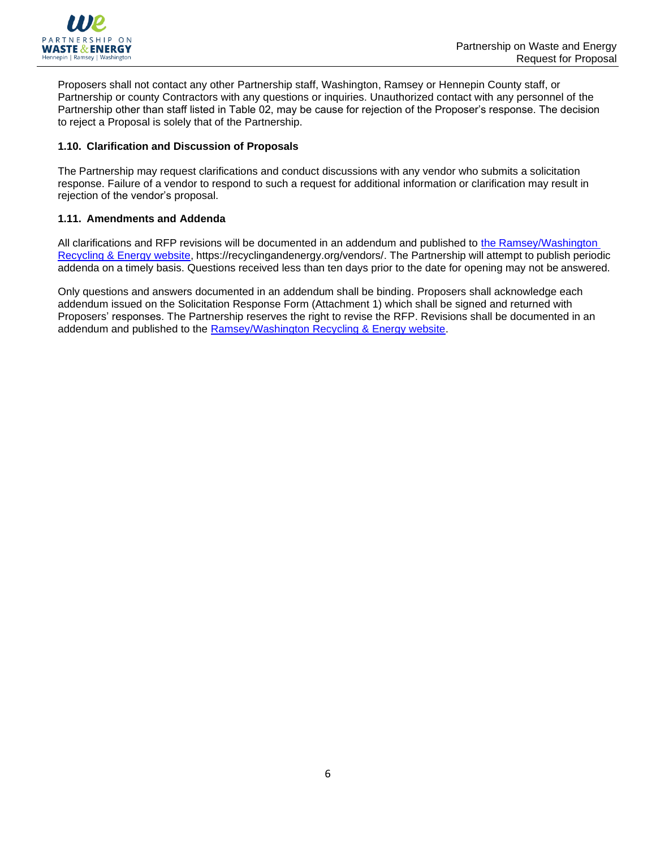

Proposers shall not contact any other Partnership staff, Washington, Ramsey or Hennepin County staff, or Partnership or county Contractors with any questions or inquiries. Unauthorized contact with any personnel of the Partnership other than staff listed in Table 02, may be cause for rejection of the Proposer's response. The decision to reject a Proposal is solely that of the Partnership.

### **1.10. Clarification and Discussion of Proposals**

The Partnership may request clarifications and conduct discussions with any vendor who submits a solicitation response. Failure of a vendor to respond to such a request for additional information or clarification may result in rejection of the vendor's proposal.

### **1.11. Amendments and Addenda**

All clarifications and RFP revisions will be documented in an addendum and published to [the Ramsey/Washington](https://recyclingandenergy.org/vendors/)  [Recycling & Energy website,](https://recyclingandenergy.org/vendors/) [https://recyclingandenergy.org/vendors/. T](http://morevaluelesstrash.com/)he Partnership will attempt to publish periodic addenda on a timely basis. Questions received less than ten days prior to the date for opening may not be answered.

Only questions and answers documented in an addendum shall be binding. Proposers shall acknowledge each addendum issued on the Solicitation Response Form (Attachment 1) which shall be signed and returned with Proposers' responses. The Partnership reserves the right to revise the RFP. Revisions shall be documented in an addendum and published to the [Ramsey/Washington Recycling & Energy website.](https://recyclingandenergy.org/vendors/)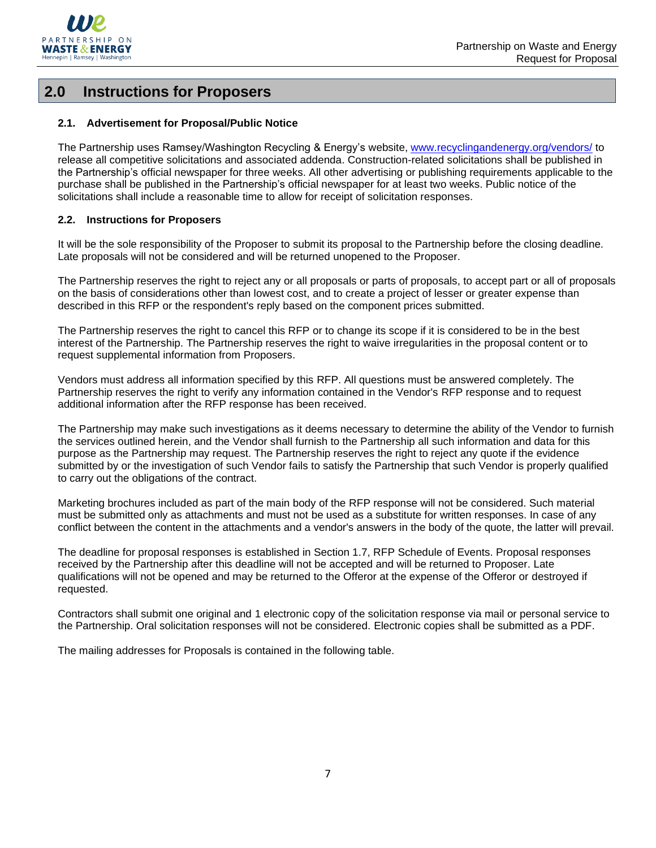

# **2.0 Instructions for Proposers**

### **2.1. Advertisement for Proposal/Public Notice**

The Partnership uses Ramsey/Washington Recycling & Energy's website, [www.recyclingandenergy.org/vendors/](https://recyclingandenergy.org/vendors/) to release all competitive solicitations and associated addenda. Construction-related solicitations shall be published in the Partnership's official newspaper for three weeks. All other advertising or publishing requirements applicable to the purchase shall be published in the Partnership's official newspaper for at least two weeks. Public notice of the solicitations shall include a reasonable time to allow for receipt of solicitation responses.

### **2.2. Instructions for Proposers**

It will be the sole responsibility of the Proposer to submit its proposal to the Partnership before the closing deadline. Late proposals will not be considered and will be returned unopened to the Proposer.

The Partnership reserves the right to reject any or all proposals or parts of proposals, to accept part or all of proposals on the basis of considerations other than lowest cost, and to create a project of lesser or greater expense than described in this RFP or the respondent's reply based on the component prices submitted.

The Partnership reserves the right to cancel this RFP or to change its scope if it is considered to be in the best interest of the Partnership. The Partnership reserves the right to waive irregularities in the proposal content or to request supplemental information from Proposers.

Vendors must address all information specified by this RFP. All questions must be answered completely. The Partnership reserves the right to verify any information contained in the Vendor's RFP response and to request additional information after the RFP response has been received.

The Partnership may make such investigations as it deems necessary to determine the ability of the Vendor to furnish the services outlined herein, and the Vendor shall furnish to the Partnership all such information and data for this purpose as the Partnership may request. The Partnership reserves the right to reject any quote if the evidence submitted by or the investigation of such Vendor fails to satisfy the Partnership that such Vendor is properly qualified to carry out the obligations of the contract.

Marketing brochures included as part of the main body of the RFP response will not be considered. Such material must be submitted only as attachments and must not be used as a substitute for written responses. In case of any conflict between the content in the attachments and a vendor's answers in the body of the quote, the latter will prevail.

The deadline for proposal responses is established in Section 1.7, RFP Schedule of Events. Proposal responses received by the Partnership after this deadline will not be accepted and will be returned to Proposer. Late qualifications will not be opened and may be returned to the Offeror at the expense of the Offeror or destroyed if requested.

Contractors shall submit one original and 1 electronic copy of the solicitation response via mail or personal service to the Partnership. Oral solicitation responses will not be considered. Electronic copies shall be submitted as a PDF.

The mailing addresses for Proposals is contained in the following table.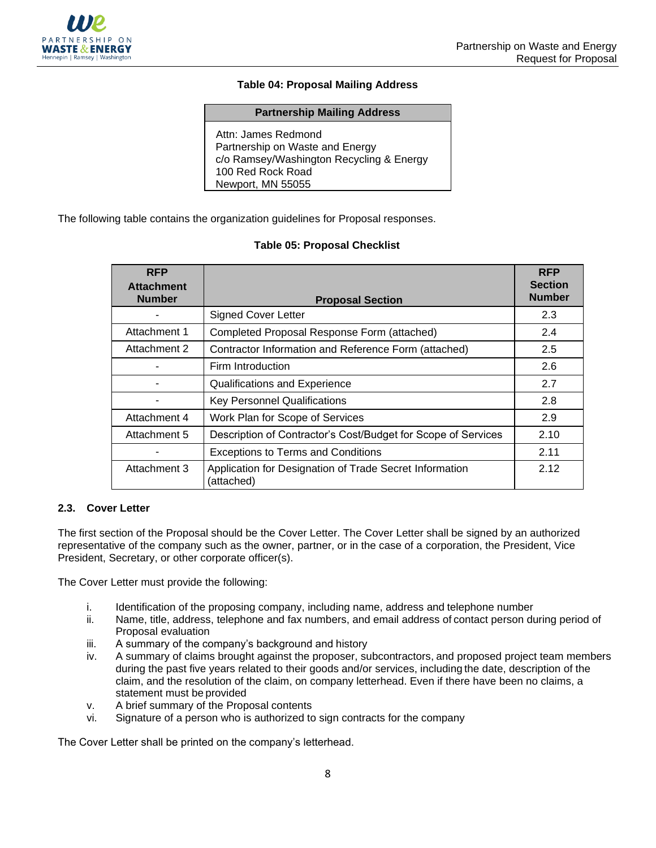

### **Table 04: Proposal Mailing Address**

### **Partnership Mailing Address**

Attn: James Redmond Partnership on Waste and Energy c/o Ramsey/Washington Recycling & Energy 100 Red Rock Road Newport, MN 55055

The following table contains the organization guidelines for Proposal responses.

### **Table 05: Proposal Checklist**

| <b>RFP</b><br><b>Attachment</b><br><b>Number</b> | <b>Proposal Section</b>                                               | <b>RFP</b><br><b>Section</b><br><b>Number</b> |
|--------------------------------------------------|-----------------------------------------------------------------------|-----------------------------------------------|
|                                                  | <b>Signed Cover Letter</b>                                            | 2.3                                           |
| Attachment 1                                     | Completed Proposal Response Form (attached)                           | 2.4                                           |
| Attachment 2                                     | Contractor Information and Reference Form (attached)                  | 2.5                                           |
|                                                  | Firm Introduction                                                     | 2.6                                           |
|                                                  | <b>Qualifications and Experience</b>                                  | 2.7                                           |
|                                                  | <b>Key Personnel Qualifications</b>                                   | 2.8                                           |
| Attachment 4                                     | Work Plan for Scope of Services                                       | 2.9                                           |
| Attachment 5                                     | Description of Contractor's Cost/Budget for Scope of Services         | 2.10                                          |
|                                                  | <b>Exceptions to Terms and Conditions</b>                             | 2.11                                          |
| Attachment 3                                     | Application for Designation of Trade Secret Information<br>(attached) | 2.12                                          |

### **2.3. Cover Letter**

The first section of the Proposal should be the Cover Letter. The Cover Letter shall be signed by an authorized representative of the company such as the owner, partner, or in the case of a corporation, the President, Vice President, Secretary, or other corporate officer(s).

The Cover Letter must provide the following:

- i. Identification of the proposing company, including name, address and telephone number
- ii. Name, title, address, telephone and fax numbers, and email address of contact person during period of Proposal evaluation
- iii. A summary of the company's background and history
- iv. A summary of claims brought against the proposer, subcontractors, and proposed project team members during the past five years related to their goods and/or services, including the date, description of the claim, and the resolution of the claim, on company letterhead. Even if there have been no claims, a statement must be provided
- v. A brief summary of the Proposal contents
- vi. Signature of a person who is authorized to sign contracts for the company

The Cover Letter shall be printed on the company's letterhead.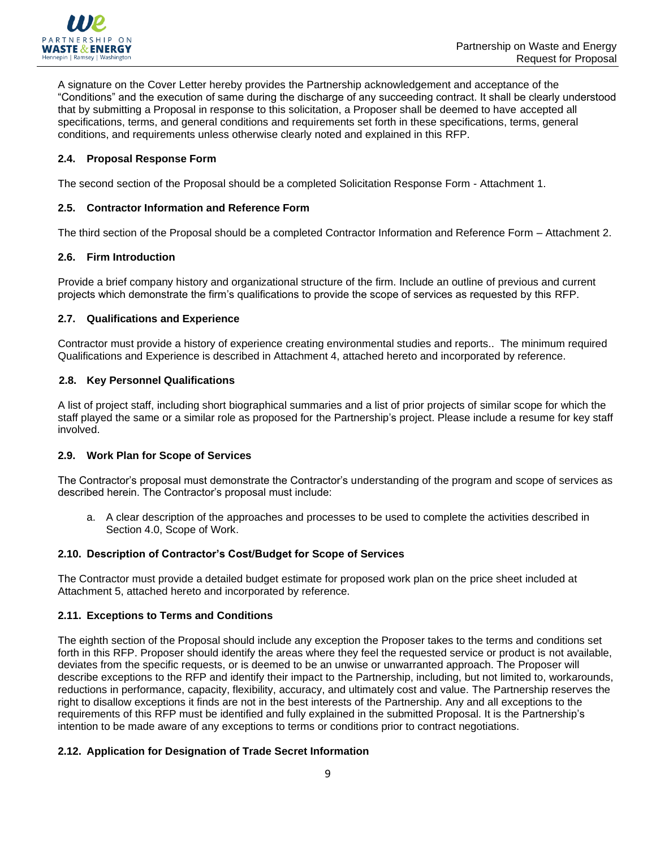

A signature on the Cover Letter hereby provides the Partnership acknowledgement and acceptance of the "Conditions" and the execution of same during the discharge of any succeeding contract. It shall be clearly understood that by submitting a Proposal in response to this solicitation, a Proposer shall be deemed to have accepted all specifications, terms, and general conditions and requirements set forth in these specifications, terms, general conditions, and requirements unless otherwise clearly noted and explained in this RFP.

### **2.4. Proposal Response Form**

The second section of the Proposal should be a completed Solicitation Response Form - Attachment 1.

### **2.5. Contractor Information and Reference Form**

The third section of the Proposal should be a completed Contractor Information and Reference Form – Attachment 2.

### **2.6. Firm Introduction**

Provide a brief company history and organizational structure of the firm. Include an outline of previous and current projects which demonstrate the firm's qualifications to provide the scope of services as requested by this RFP.

### **2.7. Qualifications and Experience**

Contractor must provide a history of experience creating environmental studies and reports.. The minimum required Qualifications and Experience is described in Attachment 4, attached hereto and incorporated by reference.

### **2.8. Key Personnel Qualifications**

A list of project staff, including short biographical summaries and a list of prior projects of similar scope for which the staff played the same or a similar role as proposed for the Partnership's project. Please include a resume for key staff involved.

### **2.9. Work Plan for Scope of Services**

The Contractor's proposal must demonstrate the Contractor's understanding of the program and scope of services as described herein. The Contractor's proposal must include:

a. A clear description of the approaches and processes to be used to complete the activities described in Section 4.0, Scope of Work.

### **2.10. Description of Contractor's Cost/Budget for Scope of Services**

The Contractor must provide a detailed budget estimate for proposed work plan on the price sheet included at Attachment 5, attached hereto and incorporated by reference.

### **2.11. Exceptions to Terms and Conditions**

The eighth section of the Proposal should include any exception the Proposer takes to the terms and conditions set forth in this RFP. Proposer should identify the areas where they feel the requested service or product is not available, deviates from the specific requests, or is deemed to be an unwise or unwarranted approach. The Proposer will describe exceptions to the RFP and identify their impact to the Partnership, including, but not limited to, workarounds, reductions in performance, capacity, flexibility, accuracy, and ultimately cost and value. The Partnership reserves the right to disallow exceptions it finds are not in the best interests of the Partnership. Any and all exceptions to the requirements of this RFP must be identified and fully explained in the submitted Proposal. It is the Partnership's intention to be made aware of any exceptions to terms or conditions prior to contract negotiations.

## **2.12. Application for Designation of Trade Secret Information**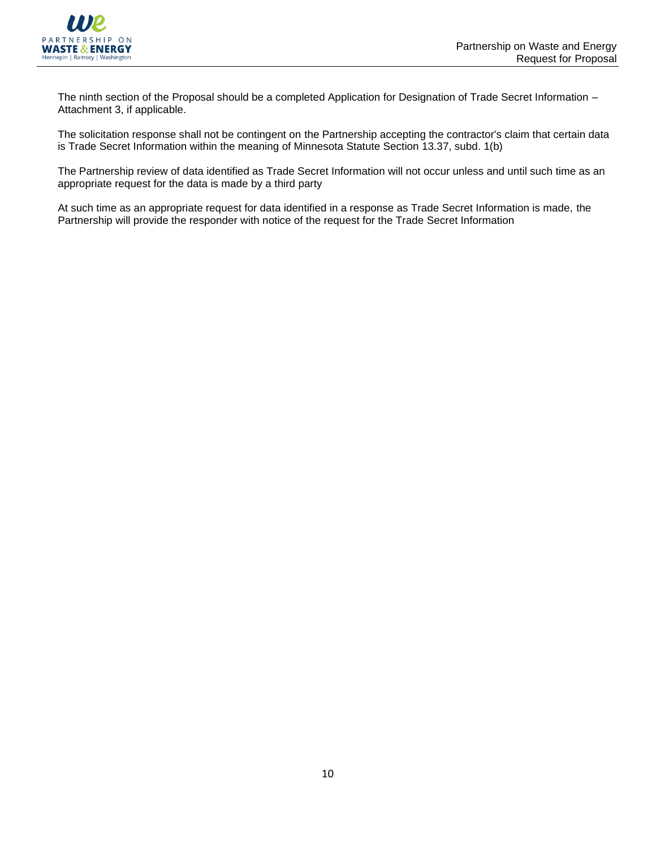

The ninth section of the Proposal should be a completed Application for Designation of Trade Secret Information – Attachment 3, if applicable.

The solicitation response shall not be contingent on the Partnership accepting the contractor's claim that certain data is Trade Secret Information within the meaning of Minnesota Statute Section 13.37, subd. 1(b)

The Partnership review of data identified as Trade Secret Information will not occur unless and until such time as an appropriate request for the data is made by a third party

At such time as an appropriate request for data identified in a response as Trade Secret Information is made, the Partnership will provide the responder with notice of the request for the Trade Secret Information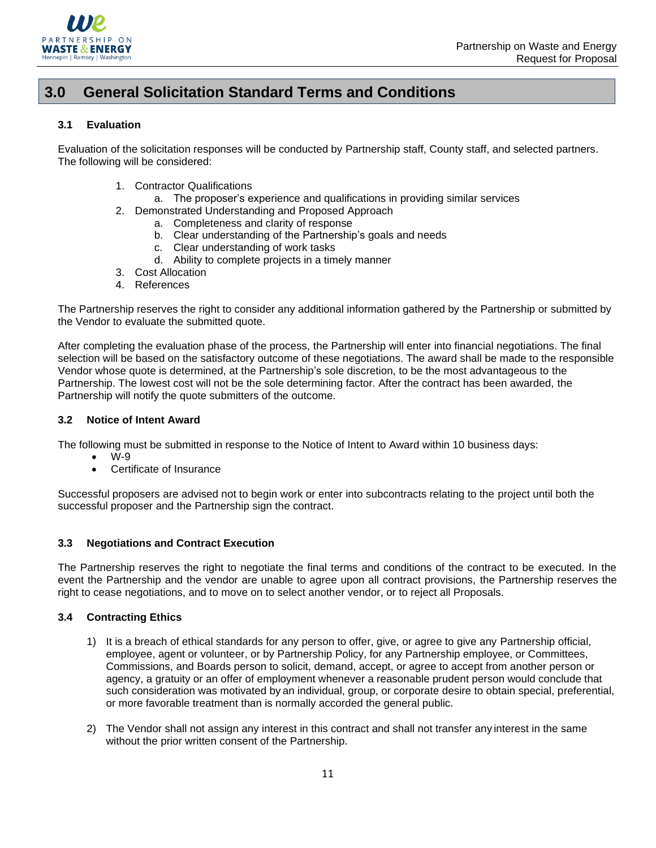

# **3.0 General Solicitation Standard Terms and Conditions**

### **3.1 Evaluation**

Evaluation of the solicitation responses will be conducted by Partnership staff, County staff, and selected partners. The following will be considered:

- 1. Contractor Qualifications
	- a. The proposer's experience and qualifications in providing similar services
- 2. Demonstrated Understanding and Proposed Approach
	- a. Completeness and clarity of response
		- b. Clear understanding of the Partnership's goals and needs
		- c. Clear understanding of work tasks
		- d. Ability to complete projects in a timely manner
- 3. Cost Allocation
- 4. References

The Partnership reserves the right to consider any additional information gathered by the Partnership or submitted by the Vendor to evaluate the submitted quote.

After completing the evaluation phase of the process, the Partnership will enter into financial negotiations. The final selection will be based on the satisfactory outcome of these negotiations. The award shall be made to the responsible Vendor whose quote is determined, at the Partnership's sole discretion, to be the most advantageous to the Partnership. The lowest cost will not be the sole determining factor. After the contract has been awarded, the Partnership will notify the quote submitters of the outcome.

### **3.2 Notice of Intent Award**

The following must be submitted in response to the Notice of Intent to Award within 10 business days:

- W-9
- Certificate of Insurance

Successful proposers are advised not to begin work or enter into subcontracts relating to the project until both the successful proposer and the Partnership sign the contract.

### **3.3 Negotiations and Contract Execution**

The Partnership reserves the right to negotiate the final terms and conditions of the contract to be executed. In the event the Partnership and the vendor are unable to agree upon all contract provisions, the Partnership reserves the right to cease negotiations, and to move on to select another vendor, or to reject all Proposals.

## **3.4 Contracting Ethics**

- 1) It is a breach of ethical standards for any person to offer, give, or agree to give any Partnership official, employee, agent or volunteer, or by Partnership Policy, for any Partnership employee, or Committees, Commissions, and Boards person to solicit, demand, accept, or agree to accept from another person or agency, a gratuity or an offer of employment whenever a reasonable prudent person would conclude that such consideration was motivated by an individual, group, or corporate desire to obtain special, preferential, or more favorable treatment than is normally accorded the general public.
- 2) The Vendor shall not assign any interest in this contract and shall not transfer any interest in the same without the prior written consent of the Partnership.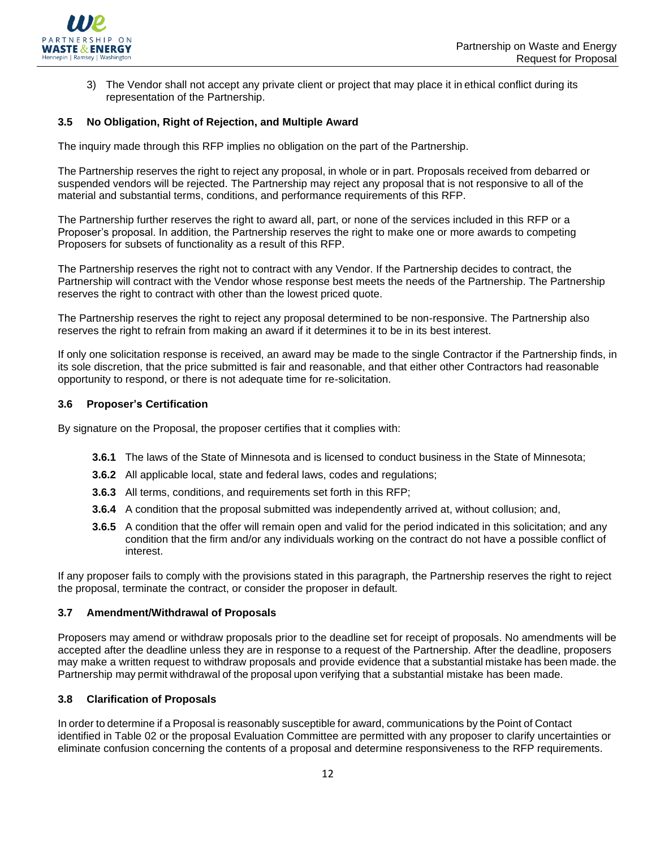

3) The Vendor shall not accept any private client or project that may place it in ethical conflict during its representation of the Partnership.

### **3.5 No Obligation, Right of Rejection, and Multiple Award**

The inquiry made through this RFP implies no obligation on the part of the Partnership.

The Partnership reserves the right to reject any proposal, in whole or in part. Proposals received from debarred or suspended vendors will be rejected. The Partnership may reject any proposal that is not responsive to all of the material and substantial terms, conditions, and performance requirements of this RFP.

The Partnership further reserves the right to award all, part, or none of the services included in this RFP or a Proposer's proposal. In addition, the Partnership reserves the right to make one or more awards to competing Proposers for subsets of functionality as a result of this RFP.

The Partnership reserves the right not to contract with any Vendor. If the Partnership decides to contract, the Partnership will contract with the Vendor whose response best meets the needs of the Partnership. The Partnership reserves the right to contract with other than the lowest priced quote.

The Partnership reserves the right to reject any proposal determined to be non-responsive. The Partnership also reserves the right to refrain from making an award if it determines it to be in its best interest.

If only one solicitation response is received, an award may be made to the single Contractor if the Partnership finds, in its sole discretion, that the price submitted is fair and reasonable, and that either other Contractors had reasonable opportunity to respond, or there is not adequate time for re-solicitation.

### **3.6 Proposer's Certification**

By signature on the Proposal, the proposer certifies that it complies with:

- **3.6.1** The laws of the State of Minnesota and is licensed to conduct business in the State of Minnesota;
- **3.6.2** All applicable local, state and federal laws, codes and regulations;
- **3.6.3** All terms, conditions, and requirements set forth in this RFP;
- **3.6.4** A condition that the proposal submitted was independently arrived at, without collusion; and,
- **3.6.5** A condition that the offer will remain open and valid for the period indicated in this solicitation; and any condition that the firm and/or any individuals working on the contract do not have a possible conflict of interest.

If any proposer fails to comply with the provisions stated in this paragraph, the Partnership reserves the right to reject the proposal, terminate the contract, or consider the proposer in default.

#### **3.7 Amendment/Withdrawal of Proposals**

Proposers may amend or withdraw proposals prior to the deadline set for receipt of proposals. No amendments will be accepted after the deadline unless they are in response to a request of the Partnership. After the deadline, proposers may make a written request to withdraw proposals and provide evidence that a substantial mistake has been made. the Partnership may permit withdrawal of the proposal upon verifying that a substantial mistake has been made.

### **3.8 Clarification of Proposals**

In order to determine if a Proposal is reasonably susceptible for award, communications by the Point of Contact identified in Table 02 or the proposal Evaluation Committee are permitted with any proposer to clarify uncertainties or eliminate confusion concerning the contents of a proposal and determine responsiveness to the RFP requirements.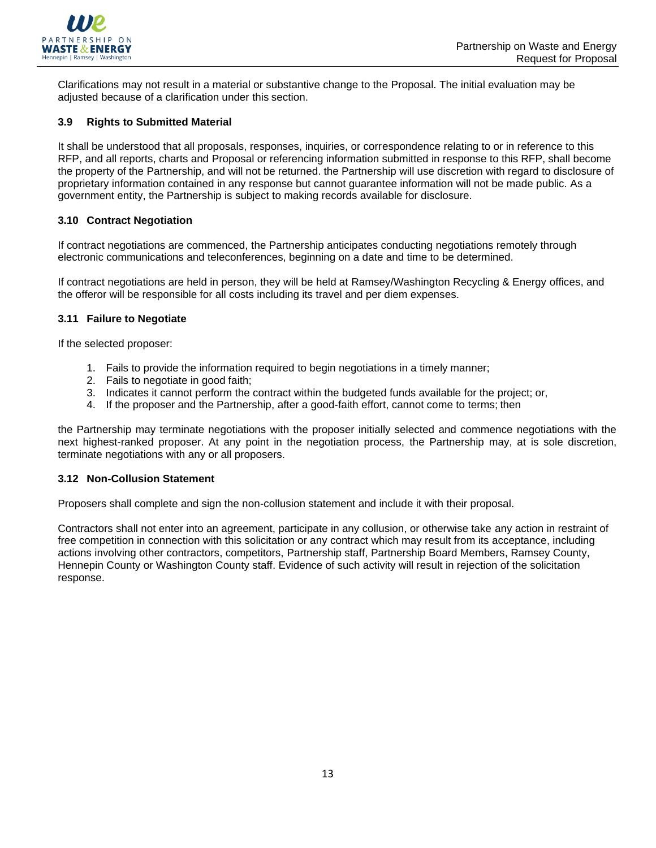

Clarifications may not result in a material or substantive change to the Proposal. The initial evaluation may be adjusted because of a clarification under this section.

### **3.9 Rights to Submitted Material**

It shall be understood that all proposals, responses, inquiries, or correspondence relating to or in reference to this RFP, and all reports, charts and Proposal or referencing information submitted in response to this RFP, shall become the property of the Partnership, and will not be returned. the Partnership will use discretion with regard to disclosure of proprietary information contained in any response but cannot guarantee information will not be made public. As a government entity, the Partnership is subject to making records available for disclosure.

### **3.10 Contract Negotiation**

If contract negotiations are commenced, the Partnership anticipates conducting negotiations remotely through electronic communications and teleconferences, beginning on a date and time to be determined.

If contract negotiations are held in person, they will be held at Ramsey/Washington Recycling & Energy offices, and the offeror will be responsible for all costs including its travel and per diem expenses.

### **3.11 Failure to Negotiate**

If the selected proposer:

- 1. Fails to provide the information required to begin negotiations in a timely manner;
- 2. Fails to negotiate in good faith;
- 3. Indicates it cannot perform the contract within the budgeted funds available for the project; or,
- 4. If the proposer and the Partnership, after a good-faith effort, cannot come to terms; then

the Partnership may terminate negotiations with the proposer initially selected and commence negotiations with the next highest-ranked proposer. At any point in the negotiation process, the Partnership may, at is sole discretion, terminate negotiations with any or all proposers.

### **3.12 Non-Collusion Statement**

Proposers shall complete and sign the non-collusion statement and include it with their proposal.

Contractors shall not enter into an agreement, participate in any collusion, or otherwise take any action in restraint of free competition in connection with this solicitation or any contract which may result from its acceptance, including actions involving other contractors, competitors, Partnership staff, Partnership Board Members, Ramsey County, Hennepin County or Washington County staff. Evidence of such activity will result in rejection of the solicitation response.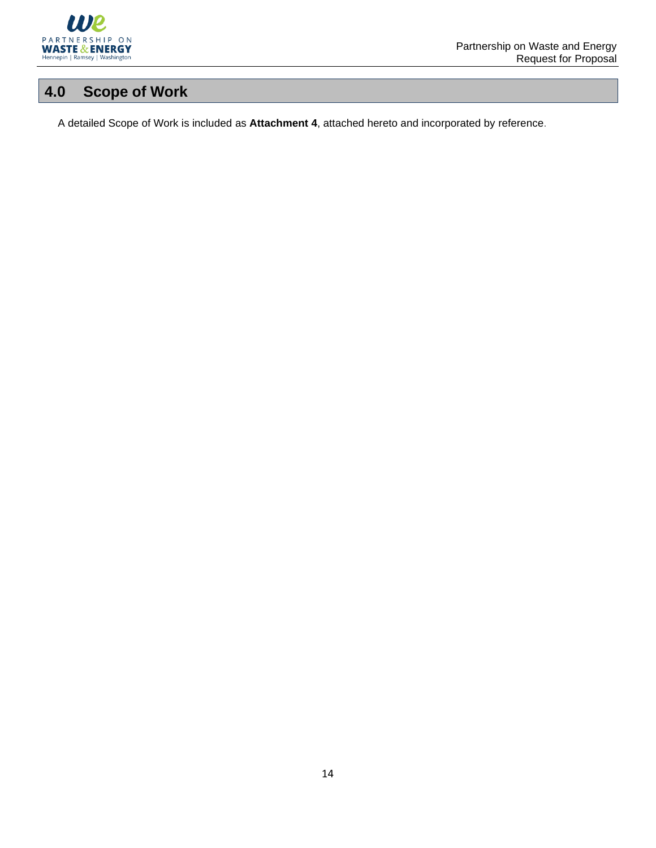

# **4.0 Scope of Work**

A detailed Scope of Work is included as **Attachment 4**, attached hereto and incorporated by reference.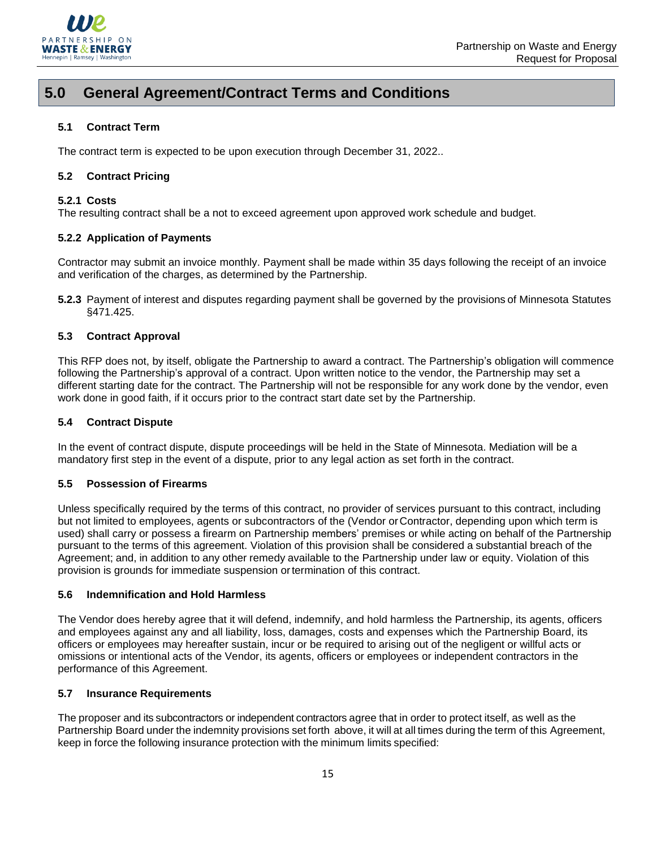

# **5.0 General Agreement/Contract Terms and Conditions**

### **5.1 Contract Term**

The contract term is expected to be upon execution through December 31, 2022..

### **5.2 Contract Pricing**

### **5.2.1 Costs**

The resulting contract shall be a not to exceed agreement upon approved work schedule and budget.

### **5.2.2 Application of Payments**

Contractor may submit an invoice monthly. Payment shall be made within 35 days following the receipt of an invoice and verification of the charges, as determined by the Partnership.

**5.2.3** Payment of interest and disputes regarding payment shall be governed by the provisions of Minnesota Statutes §471.425.

### **5.3 Contract Approval**

This RFP does not, by itself, obligate the Partnership to award a contract. The Partnership's obligation will commence following the Partnership's approval of a contract. Upon written notice to the vendor, the Partnership may set a different starting date for the contract. The Partnership will not be responsible for any work done by the vendor, even work done in good faith, if it occurs prior to the contract start date set by the Partnership.

### **5.4 Contract Dispute**

In the event of contract dispute, dispute proceedings will be held in the State of Minnesota. Mediation will be a mandatory first step in the event of a dispute, prior to any legal action as set forth in the contract.

### **5.5 Possession of Firearms**

Unless specifically required by the terms of this contract, no provider of services pursuant to this contract, including but not limited to employees, agents or subcontractors of the (Vendor orContractor, depending upon which term is used) shall carry or possess a firearm on Partnership members' premises or while acting on behalf of the Partnership pursuant to the terms of this agreement. Violation of this provision shall be considered a substantial breach of the Agreement; and, in addition to any other remedy available to the Partnership under law or equity. Violation of this provision is grounds for immediate suspension ortermination of this contract.

### **5.6 Indemnification and Hold Harmless**

The Vendor does hereby agree that it will defend, indemnify, and hold harmless the Partnership, its agents, officers and employees against any and all liability, loss, damages, costs and expenses which the Partnership Board, its officers or employees may hereafter sustain, incur or be required to arising out of the negligent or willful acts or omissions or intentional acts of the Vendor, its agents, officers or employees or independent contractors in the performance of this Agreement.

### **5.7 Insurance Requirements**

The proposer and its subcontractors or independent contractors agree that in order to protect itself, as well as the Partnership Board under the indemnity provisions set forth above, it will at all times during the term of this Agreement, keep in force the following insurance protection with the minimum limits specified: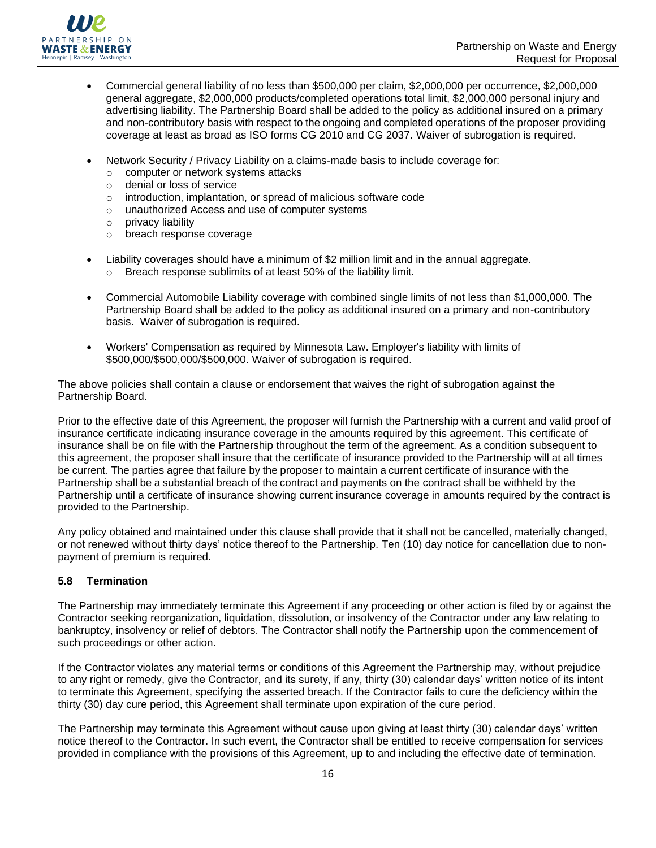

- Commercial general liability of no less than \$500,000 per claim, \$2,000,000 per occurrence, \$2,000,000 general aggregate, \$2,000,000 products/completed operations total limit, \$2,000,000 personal injury and advertising liability. The Partnership Board shall be added to the policy as additional insured on a primary and non-contributory basis with respect to the ongoing and completed operations of the proposer providing coverage at least as broad as ISO forms CG 2010 and CG 2037. Waiver of subrogation is required.
- Network Security / Privacy Liability on a claims-made basis to include coverage for:
	- o computer or network systems attacks
	- o denial or loss of service
	- o introduction, implantation, or spread of malicious software code
	- o unauthorized Access and use of computer systems
	- o privacy liability
	- o breach response coverage
- Liability coverages should have a minimum of \$2 million limit and in the annual aggregate.
	- o Breach response sublimits of at least 50% of the liability limit.
- Commercial Automobile Liability coverage with combined single limits of not less than \$1,000,000. The Partnership Board shall be added to the policy as additional insured on a primary and non-contributory basis. Waiver of subrogation is required.
- Workers' Compensation as required by Minnesota Law. Employer's liability with limits of \$500,000/\$500,000/\$500,000. Waiver of subrogation is required.

The above policies shall contain a clause or endorsement that waives the right of subrogation against the Partnership Board.

Prior to the effective date of this Agreement, the proposer will furnish the Partnership with a current and valid proof of insurance certificate indicating insurance coverage in the amounts required by this agreement. This certificate of insurance shall be on file with the Partnership throughout the term of the agreement. As a condition subsequent to this agreement, the proposer shall insure that the certificate of insurance provided to the Partnership will at all times be current. The parties agree that failure by the proposer to maintain a current certificate of insurance with the Partnership shall be a substantial breach of the contract and payments on the contract shall be withheld by the Partnership until a certificate of insurance showing current insurance coverage in amounts required by the contract is provided to the Partnership.

Any policy obtained and maintained under this clause shall provide that it shall not be cancelled, materially changed, or not renewed without thirty days' notice thereof to the Partnership. Ten (10) day notice for cancellation due to nonpayment of premium is required.

### **5.8 Termination**

The Partnership may immediately terminate this Agreement if any proceeding or other action is filed by or against the Contractor seeking reorganization, liquidation, dissolution, or insolvency of the Contractor under any law relating to bankruptcy, insolvency or relief of debtors. The Contractor shall notify the Partnership upon the commencement of such proceedings or other action.

If the Contractor violates any material terms or conditions of this Agreement the Partnership may, without prejudice to any right or remedy, give the Contractor, and its surety, if any, thirty (30) calendar days' written notice of its intent to terminate this Agreement, specifying the asserted breach. If the Contractor fails to cure the deficiency within the thirty (30) day cure period, this Agreement shall terminate upon expiration of the cure period.

The Partnership may terminate this Agreement without cause upon giving at least thirty (30) calendar days' written notice thereof to the Contractor. In such event, the Contractor shall be entitled to receive compensation for services provided in compliance with the provisions of this Agreement, up to and including the effective date of termination.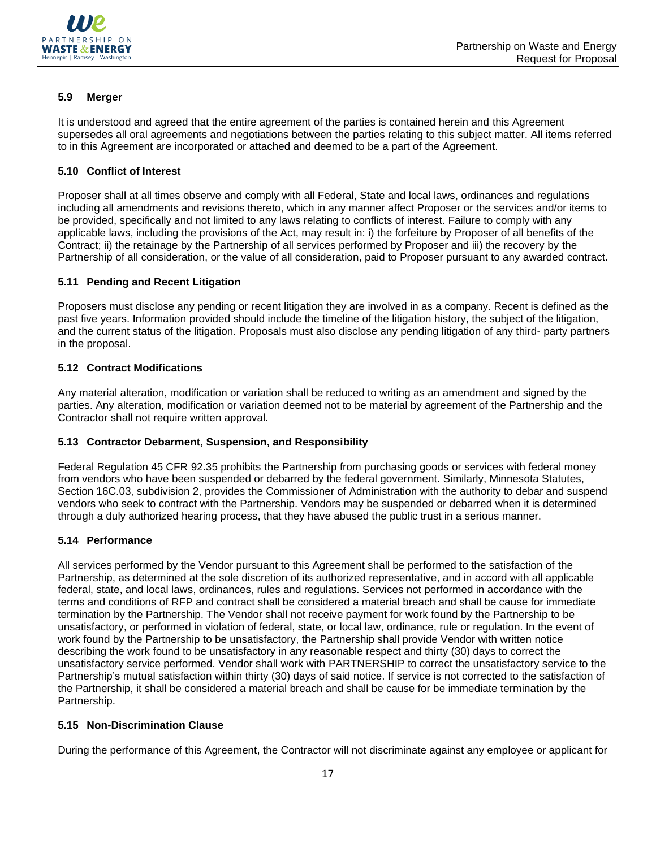

### **5.9 Merger**

It is understood and agreed that the entire agreement of the parties is contained herein and this Agreement supersedes all oral agreements and negotiations between the parties relating to this subject matter. All items referred to in this Agreement are incorporated or attached and deemed to be a part of the Agreement.

### **5.10 Conflict of Interest**

Proposer shall at all times observe and comply with all Federal, State and local laws, ordinances and regulations including all amendments and revisions thereto, which in any manner affect Proposer or the services and/or items to be provided, specifically and not limited to any laws relating to conflicts of interest. Failure to comply with any applicable laws, including the provisions of the Act, may result in: i) the forfeiture by Proposer of all benefits of the Contract; ii) the retainage by the Partnership of all services performed by Proposer and iii) the recovery by the Partnership of all consideration, or the value of all consideration, paid to Proposer pursuant to any awarded contract.

### **5.11 Pending and Recent Litigation**

Proposers must disclose any pending or recent litigation they are involved in as a company. Recent is defined as the past five years. Information provided should include the timeline of the litigation history, the subject of the litigation, and the current status of the litigation. Proposals must also disclose any pending litigation of any third- party partners in the proposal.

### **5.12 Contract Modifications**

Any material alteration, modification or variation shall be reduced to writing as an amendment and signed by the parties. Any alteration, modification or variation deemed not to be material by agreement of the Partnership and the Contractor shall not require written approval.

### **5.13 Contractor Debarment, Suspension, and Responsibility**

Federal Regulation 45 CFR 92.35 prohibits the Partnership from purchasing goods or services with federal money from vendors who have been suspended or debarred by the federal government. Similarly, Minnesota Statutes, Section 16C.03, subdivision 2, provides the Commissioner of Administration with the authority to debar and suspend vendors who seek to contract with the Partnership. Vendors may be suspended or debarred when it is determined through a duly authorized hearing process, that they have abused the public trust in a serious manner.

### **5.14 Performance**

All services performed by the Vendor pursuant to this Agreement shall be performed to the satisfaction of the Partnership, as determined at the sole discretion of its authorized representative, and in accord with all applicable federal, state, and local laws, ordinances, rules and regulations. Services not performed in accordance with the terms and conditions of RFP and contract shall be considered a material breach and shall be cause for immediate termination by the Partnership. The Vendor shall not receive payment for work found by the Partnership to be unsatisfactory, or performed in violation of federal, state, or local law, ordinance, rule or regulation. In the event of work found by the Partnership to be unsatisfactory, the Partnership shall provide Vendor with written notice describing the work found to be unsatisfactory in any reasonable respect and thirty (30) days to correct the unsatisfactory service performed. Vendor shall work with PARTNERSHIP to correct the unsatisfactory service to the Partnership's mutual satisfaction within thirty (30) days of said notice. If service is not corrected to the satisfaction of the Partnership, it shall be considered a material breach and shall be cause for be immediate termination by the Partnership.

### **5.15 Non-Discrimination Clause**

During the performance of this Agreement, the Contractor will not discriminate against any employee or applicant for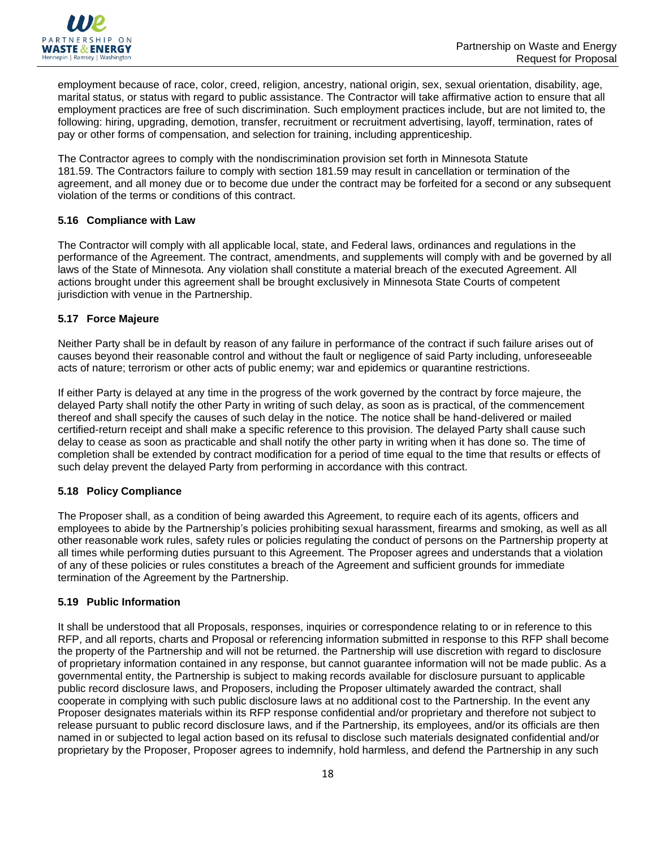

employment because of race, color, creed, religion, ancestry, national origin, sex, sexual orientation, disability, age, marital status, or status with regard to public assistance. The Contractor will take affirmative action to ensure that all employment practices are free of such discrimination. Such employment practices include, but are not limited to, the following: hiring, upgrading, demotion, transfer, recruitment or recruitment advertising, layoff, termination, rates of pay or other forms of compensation, and selection for training, including apprenticeship.

The Contractor agrees to comply with the nondiscrimination provision set forth in Minnesota Statute 181.59. The Contractors failure to comply with section 181.59 may result in cancellation or termination of the agreement, and all money due or to become due under the contract may be forfeited for a second or any subsequent violation of the terms or conditions of this contract.

### **5.16 Compliance with Law**

The Contractor will comply with all applicable local, state, and Federal laws, ordinances and regulations in the performance of the Agreement. The contract, amendments, and supplements will comply with and be governed by all laws of the State of Minnesota. Any violation shall constitute a material breach of the executed Agreement. All actions brought under this agreement shall be brought exclusively in Minnesota State Courts of competent jurisdiction with venue in the Partnership.

### **5.17 Force Majeure**

Neither Party shall be in default by reason of any failure in performance of the contract if such failure arises out of causes beyond their reasonable control and without the fault or negligence of said Party including, unforeseeable acts of nature; terrorism or other acts of public enemy; war and epidemics or quarantine restrictions.

If either Party is delayed at any time in the progress of the work governed by the contract by force majeure, the delayed Party shall notify the other Party in writing of such delay, as soon as is practical, of the commencement thereof and shall specify the causes of such delay in the notice. The notice shall be hand-delivered or mailed certified-return receipt and shall make a specific reference to this provision. The delayed Party shall cause such delay to cease as soon as practicable and shall notify the other party in writing when it has done so. The time of completion shall be extended by contract modification for a period of time equal to the time that results or effects of such delay prevent the delayed Party from performing in accordance with this contract.

## **5.18 Policy Compliance**

The Proposer shall, as a condition of being awarded this Agreement, to require each of its agents, officers and employees to abide by the Partnership's policies prohibiting sexual harassment, firearms and smoking, as well as all other reasonable work rules, safety rules or policies regulating the conduct of persons on the Partnership property at all times while performing duties pursuant to this Agreement. The Proposer agrees and understands that a violation of any of these policies or rules constitutes a breach of the Agreement and sufficient grounds for immediate termination of the Agreement by the Partnership.

### **5.19 Public Information**

It shall be understood that all Proposals, responses, inquiries or correspondence relating to or in reference to this RFP, and all reports, charts and Proposal or referencing information submitted in response to this RFP shall become the property of the Partnership and will not be returned. the Partnership will use discretion with regard to disclosure of proprietary information contained in any response, but cannot guarantee information will not be made public. As a governmental entity, the Partnership is subject to making records available for disclosure pursuant to applicable public record disclosure laws, and Proposers, including the Proposer ultimately awarded the contract, shall cooperate in complying with such public disclosure laws at no additional cost to the Partnership. In the event any Proposer designates materials within its RFP response confidential and/or proprietary and therefore not subject to release pursuant to public record disclosure laws, and if the Partnership, its employees, and/or its officials are then named in or subjected to legal action based on its refusal to disclose such materials designated confidential and/or proprietary by the Proposer, Proposer agrees to indemnify, hold harmless, and defend the Partnership in any such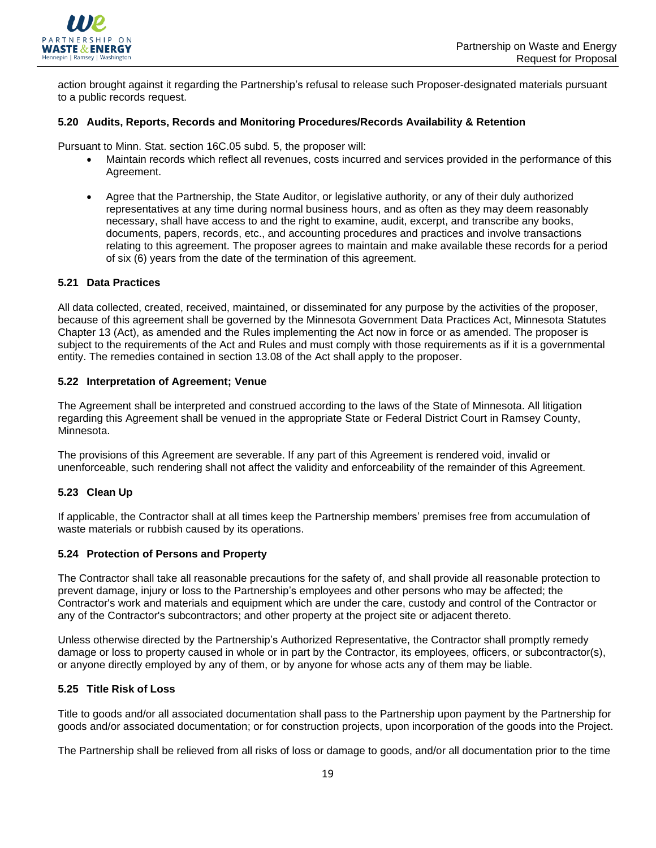

action brought against it regarding the Partnership's refusal to release such Proposer-designated materials pursuant to a public records request.

### **5.20 Audits, Reports, Records and Monitoring Procedures/Records Availability & Retention**

Pursuant to Minn. Stat. section 16C.05 subd. 5, the proposer will:

- Maintain records which reflect all revenues, costs incurred and services provided in the performance of this Agreement.
- Agree that the Partnership, the State Auditor, or legislative authority, or any of their duly authorized representatives at any time during normal business hours, and as often as they may deem reasonably necessary, shall have access to and the right to examine, audit, excerpt, and transcribe any books, documents, papers, records, etc., and accounting procedures and practices and involve transactions relating to this agreement. The proposer agrees to maintain and make available these records for a period of six (6) years from the date of the termination of this agreement.

### **5.21 Data Practices**

All data collected, created, received, maintained, or disseminated for any purpose by the activities of the proposer, because of this agreement shall be governed by the Minnesota Government Data Practices Act, Minnesota Statutes Chapter 13 (Act), as amended and the Rules implementing the Act now in force or as amended. The proposer is subject to the requirements of the Act and Rules and must comply with those requirements as if it is a governmental entity. The remedies contained in section 13.08 of the Act shall apply to the proposer.

### **5.22 Interpretation of Agreement; Venue**

The Agreement shall be interpreted and construed according to the laws of the State of Minnesota. All litigation regarding this Agreement shall be venued in the appropriate State or Federal District Court in Ramsey County, Minnesota.

The provisions of this Agreement are severable. If any part of this Agreement is rendered void, invalid or unenforceable, such rendering shall not affect the validity and enforceability of the remainder of this Agreement.

### **5.23 Clean Up**

If applicable, the Contractor shall at all times keep the Partnership members' premises free from accumulation of waste materials or rubbish caused by its operations.

### **5.24 Protection of Persons and Property**

The Contractor shall take all reasonable precautions for the safety of, and shall provide all reasonable protection to prevent damage, injury or loss to the Partnership's employees and other persons who may be affected; the Contractor's work and materials and equipment which are under the care, custody and control of the Contractor or any of the Contractor's subcontractors; and other property at the project site or adjacent thereto.

Unless otherwise directed by the Partnership's Authorized Representative, the Contractor shall promptly remedy damage or loss to property caused in whole or in part by the Contractor, its employees, officers, or subcontractor(s), or anyone directly employed by any of them, or by anyone for whose acts any of them may be liable.

#### **5.25 Title Risk of Loss**

Title to goods and/or all associated documentation shall pass to the Partnership upon payment by the Partnership for goods and/or associated documentation; or for construction projects, upon incorporation of the goods into the Project.

The Partnership shall be relieved from all risks of loss or damage to goods, and/or all documentation prior to the time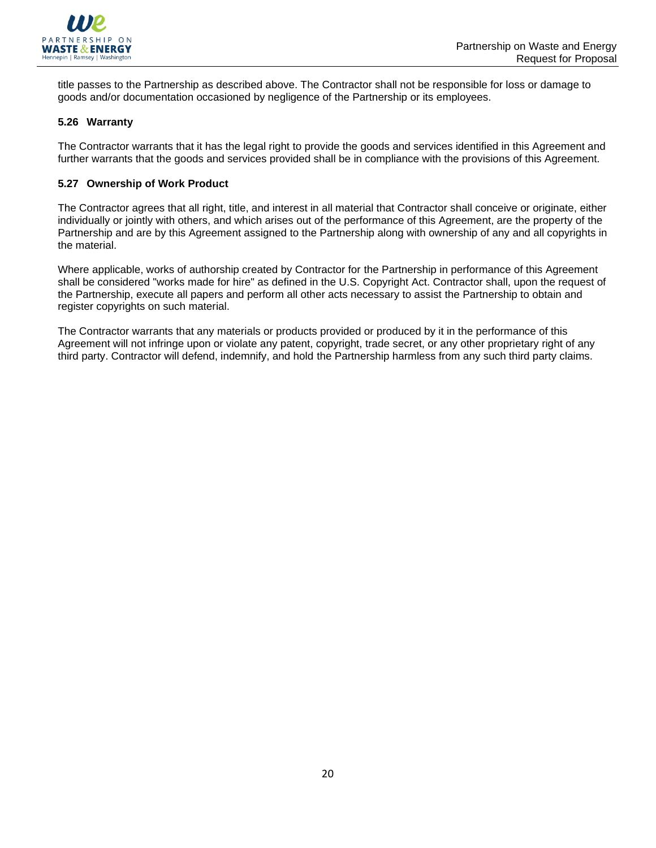

title passes to the Partnership as described above. The Contractor shall not be responsible for loss or damage to goods and/or documentation occasioned by negligence of the Partnership or its employees.

### **5.26 Warranty**

The Contractor warrants that it has the legal right to provide the goods and services identified in this Agreement and further warrants that the goods and services provided shall be in compliance with the provisions of this Agreement.

### **5.27 Ownership of Work Product**

The Contractor agrees that all right, title, and interest in all material that Contractor shall conceive or originate, either individually or jointly with others, and which arises out of the performance of this Agreement, are the property of the Partnership and are by this Agreement assigned to the Partnership along with ownership of any and all copyrights in the material.

Where applicable, works of authorship created by Contractor for the Partnership in performance of this Agreement shall be considered "works made for hire" as defined in the U.S. Copyright Act. Contractor shall, upon the request of the Partnership, execute all papers and perform all other acts necessary to assist the Partnership to obtain and register copyrights on such material.

The Contractor warrants that any materials or products provided or produced by it in the performance of this Agreement will not infringe upon or violate any patent, copyright, trade secret, or any other proprietary right of any third party. Contractor will defend, indemnify, and hold the Partnership harmless from any such third party claims.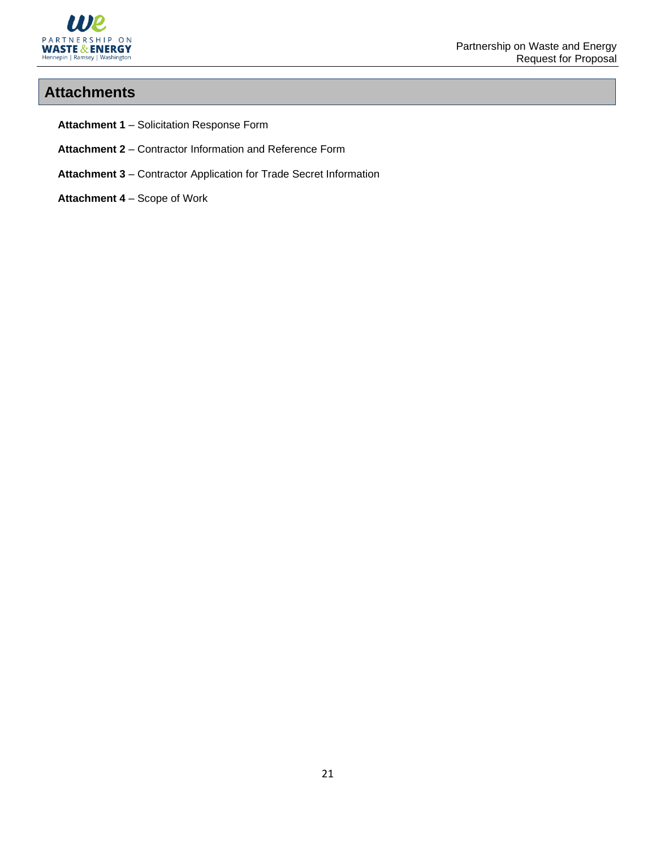

# **Attachments**

- **Attachment 1**  Solicitation Response Form
- **Attachment 2**  Contractor Information and Reference Form
- **Attachment 3**  Contractor Application for Trade Secret Information
- **Attachment 4**  Scope of Work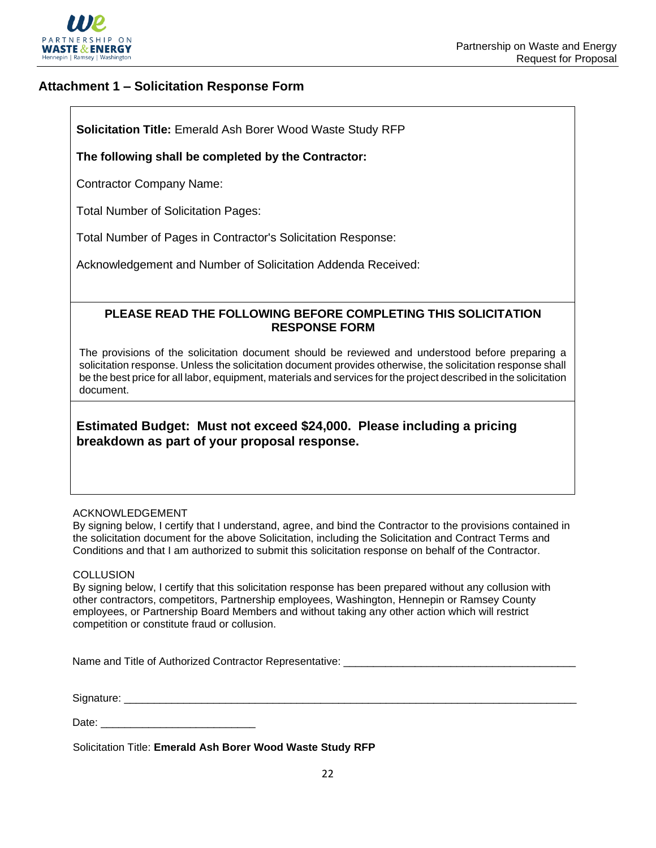

# **Attachment 1 – Solicitation Response Form**

**Solicitation Title:** Emerald Ash Borer Wood Waste Study RFP

## **The following shall be completed by the Contractor:**

Contractor Company Name:

Total Number of Solicitation Pages:

Total Number of Pages in Contractor's Solicitation Response:

Acknowledgement and Number of Solicitation Addenda Received:

## **PLEASE READ THE FOLLOWING BEFORE COMPLETING THIS SOLICITATION RESPONSE FORM**

The provisions of the solicitation document should be reviewed and understood before preparing a solicitation response. Unless the solicitation document provides otherwise, the solicitation response shall be the best price for all labor, equipment, materials and services for the project described in the solicitation document.

# **Estimated Budget: Must not exceed \$24,000. Please including a pricing breakdown as part of your proposal response.**

## ACKNOWLEDGEMENT

By signing below, I certify that I understand, agree, and bind the Contractor to the provisions contained in the solicitation document for the above Solicitation, including the Solicitation and Contract Terms and Conditions and that I am authorized to submit this solicitation response on behalf of the Contractor.

### **COLLUSION**

By signing below, I certify that this solicitation response has been prepared without any collusion with other contractors, competitors, Partnership employees, Washington, Hennepin or Ramsey County employees, or Partnership Board Members and without taking any other action which will restrict competition or constitute fraud or collusion.

Name and Title of Authorized Contractor Representative: \_\_\_\_\_\_\_\_\_\_\_\_\_\_\_\_\_\_\_\_\_\_\_\_

Signature: \_\_\_\_\_\_\_\_\_\_\_\_\_\_\_\_\_\_\_\_\_\_\_\_\_\_\_\_\_\_\_\_\_\_\_\_\_\_\_\_\_\_\_\_\_\_\_\_\_\_\_\_\_\_\_\_\_\_\_\_\_\_\_\_\_\_\_\_\_\_\_\_\_\_\_\_

Date:

Solicitation Title: **Emerald Ash Borer Wood Waste Study RFP**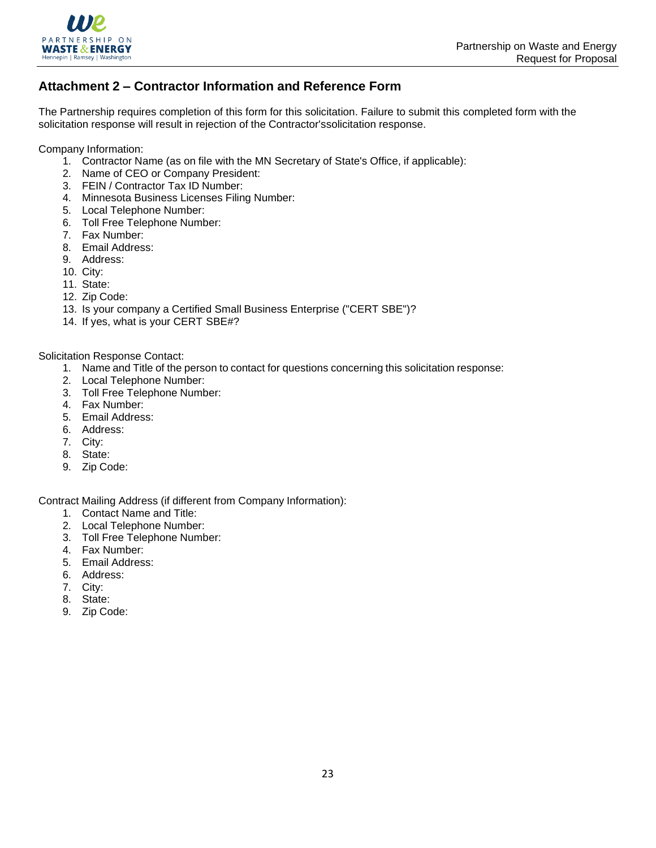

# **Attachment 2 – Contractor Information and Reference Form**

The Partnership requires completion of this form for this solicitation. Failure to submit this completed form with the solicitation response will result in rejection of the Contractor'ssolicitation response.

Company Information:

- 1. Contractor Name (as on file with the MN Secretary of State's Office, if applicable):
- 2. Name of CEO or Company President:
- 3. FEIN / Contractor Tax ID Number:
- 4. Minnesota Business Licenses Filing Number:
- 5. Local Telephone Number:
- 6. Toll Free Telephone Number:
- 7. Fax Number:
- 8. Email Address:
- 9. Address:
- 10. City:
- 11. State:
- 12. Zip Code:
- 13. Is your company a Certified Small Business Enterprise ("CERT SBE")?
- 14. If yes, what is your CERT SBE#?

Solicitation Response Contact:

- 1. Name and Title of the person to contact for questions concerning this solicitation response:
- 2. Local Telephone Number:
- 3. Toll Free Telephone Number:
- 4. Fax Number:
- 5. Email Address:
- 6. Address:
- 7. City:
- 8. State:
- 9. Zip Code:

Contract Mailing Address (if different from Company Information):

- 1. Contact Name and Title:
- 2. Local Telephone Number:
- 3. Toll Free Telephone Number:
- 4. Fax Number:
- 5. Email Address:
- 6. Address:
- 7. City:
- 8. State:
- 9. Zip Code: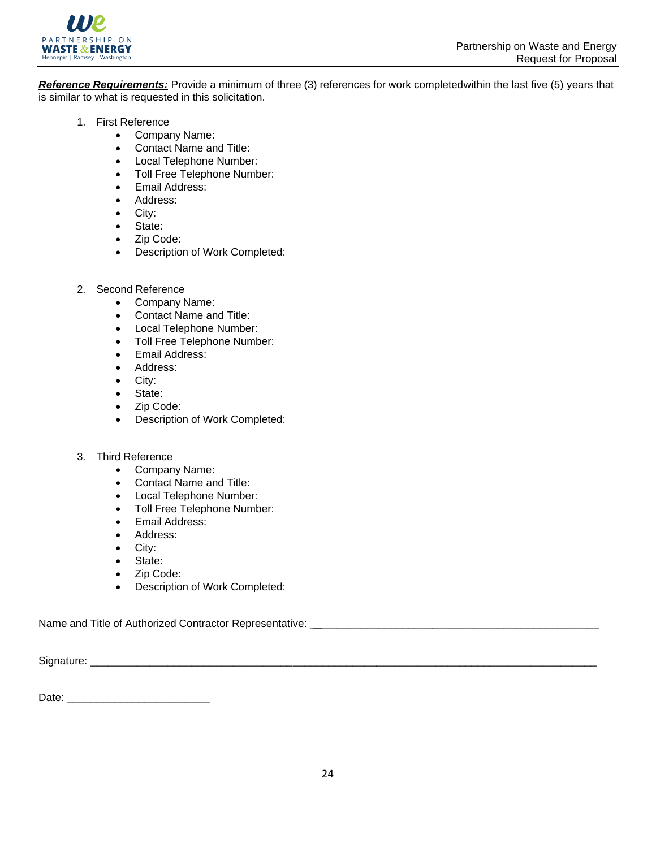

*Reference Requirements:* Provide a minimum of three (3) references for work completedwithin the last five (5) years that is similar to what is requested in this solicitation.

- 1. First Reference
	- Company Name:
	- Contact Name and Title:
	- Local Telephone Number:
	- Toll Free Telephone Number:
	- Email Address:
	- Address:
	- City:
	- State:
	- Zip Code:
	- Description of Work Completed:
- 2. Second Reference
	- Company Name:
	- Contact Name and Title:
	- Local Telephone Number:
	- Toll Free Telephone Number:
	- Email Address:
	- Address:
	- City:
	- State:
	- Zip Code:
	- Description of Work Completed:
- 3. Third Reference
	- Company Name:
	- Contact Name and Title:
	- Local Telephone Number:
	- Toll Free Telephone Number:
	- Email Address:
	- Address:
	- City:
	- State:
	- Zip Code:
	- Description of Work Completed:

Name and Title of Authorized Contractor Representative: \_\_\_\_\_\_\_\_\_\_\_\_\_\_\_\_\_\_\_\_\_\_\_\_\_\_\_\_\_\_\_\_\_\_\_\_\_\_\_\_\_\_\_\_\_\_\_\_\_\_

Signature:  $\Box$ 

Date:  $\Box$